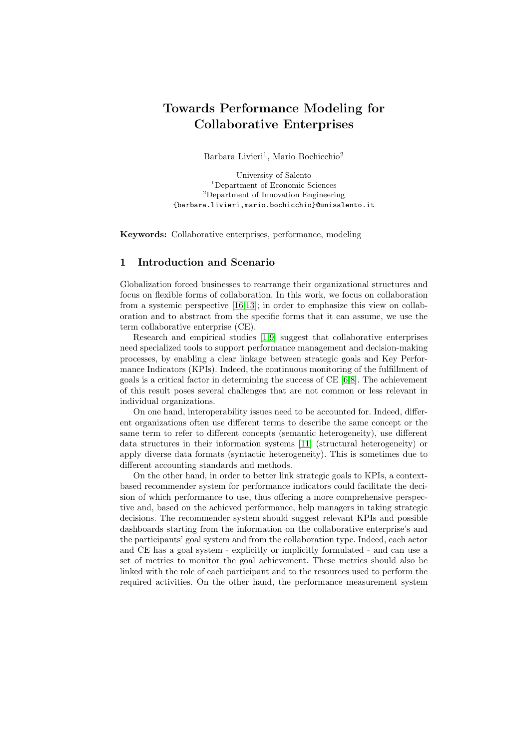# Towards Performance Modeling for Collaborative Enterprises

Barbara Livieri<sup>1</sup>, Mario Bochicchio<sup>2</sup>

University of Salento <sup>1</sup>Department of Economic Sciences <sup>2</sup>Department of Innovation Engineering {barbara.livieri,mario.bochicchio}@unisalento.it

Keywords: Collaborative enterprises, performance, modeling

# 1 Introduction and Scenario

Globalization forced businesses to rearrange their organizational structures and focus on flexible forms of collaboration. In this work, we focus on collaboration from a systemic perspective [\[16](#page-3-0)[,13\]](#page-3-1); in order to emphasize this view on collaboration and to abstract from the specific forms that it can assume, we use the term collaborative enterprise (CE).

Research and empirical studies [\[1,](#page-3-2)[9\]](#page-3-3) suggest that collaborative enterprises need specialized tools to support performance management and decision-making processes, by enabling a clear linkage between strategic goals and Key Performance Indicators (KPIs). Indeed, the continuous monitoring of the fulfillment of goals is a critical factor in determining the success of CE [\[6,](#page-3-4)[8\]](#page-3-5). The achievement of this result poses several challenges that are not common or less relevant in individual organizations.

On one hand, interoperability issues need to be accounted for. Indeed, different organizations often use different terms to describe the same concept or the same term to refer to different concepts (semantic heterogeneity), use different data structures in their information systems [\[11\]](#page-3-6) (structural heterogeneity) or apply diverse data formats (syntactic heterogeneity). This is sometimes due to different accounting standards and methods.

On the other hand, in order to better link strategic goals to KPIs, a contextbased recommender system for performance indicators could facilitate the decision of which performance to use, thus offering a more comprehensive perspective and, based on the achieved performance, help managers in taking strategic decisions. The recommender system should suggest relevant KPIs and possible dashboards starting from the information on the collaborative enterprise's and the participants' goal system and from the collaboration type. Indeed, each actor and CE has a goal system - explicitly or implicitly formulated - and can use a set of metrics to monitor the goal achievement. These metrics should also be linked with the role of each participant and to the resources used to perform the required activities. On the other hand, the performance measurement system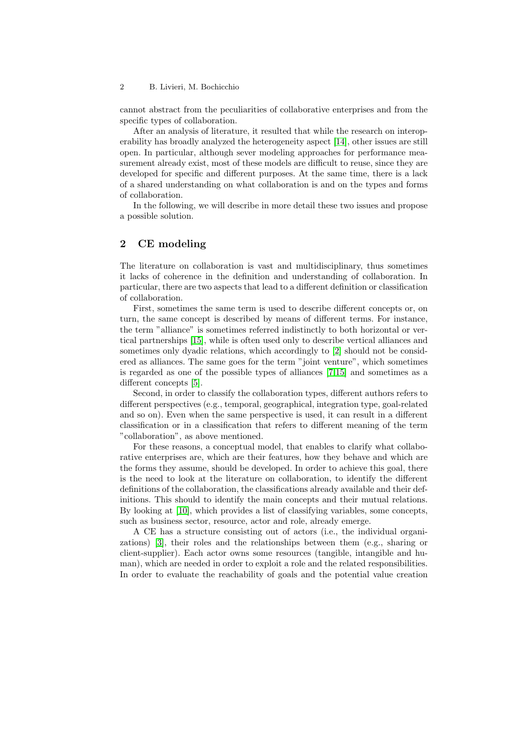#### 2 B. Livieri, M. Bochicchio

cannot abstract from the peculiarities of collaborative enterprises and from the specific types of collaboration.

After an analysis of literature, it resulted that while the research on interoperability has broadly analyzed the heterogeneity aspect [\[14\]](#page-3-7), other issues are still open. In particular, although sever modeling approaches for performance measurement already exist, most of these models are difficult to reuse, since they are developed for specific and different purposes. At the same time, there is a lack of a shared understanding on what collaboration is and on the types and forms of collaboration.

In the following, we will describe in more detail these two issues and propose a possible solution.

## 2 CE modeling

The literature on collaboration is vast and multidisciplinary, thus sometimes it lacks of coherence in the definition and understanding of collaboration. In particular, there are two aspects that lead to a different definition or classification of collaboration.

First, sometimes the same term is used to describe different concepts or, on turn, the same concept is described by means of different terms. For instance, the term "alliance" is sometimes referred indistinctly to both horizontal or vertical partnerships [\[15\]](#page-3-8), while is often used only to describe vertical alliances and sometimes only dyadic relations, which accordingly to [\[2\]](#page-3-9) should not be considered as alliances. The same goes for the term "joint venture", which sometimes is regarded as one of the possible types of alliances [\[7,](#page-3-10)[15\]](#page-3-8) and sometimes as a different concepts [\[5\]](#page-3-11).

Second, in order to classify the collaboration types, different authors refers to different perspectives (e.g., temporal, geographical, integration type, goal-related and so on). Even when the same perspective is used, it can result in a different classification or in a classification that refers to different meaning of the term "collaboration", as above mentioned.

For these reasons, a conceptual model, that enables to clarify what collaborative enterprises are, which are their features, how they behave and which are the forms they assume, should be developed. In order to achieve this goal, there is the need to look at the literature on collaboration, to identify the different definitions of the collaboration, the classifications already available and their definitions. This should to identify the main concepts and their mutual relations. By looking at [\[10\]](#page-3-12), which provides a list of classifying variables, some concepts, such as business sector, resource, actor and role, already emerge.

A CE has a structure consisting out of actors (i.e., the individual organizations) [\[3\]](#page-3-13), their roles and the relationships between them (e.g., sharing or client-supplier). Each actor owns some resources (tangible, intangible and human), which are needed in order to exploit a role and the related responsibilities. In order to evaluate the reachability of goals and the potential value creation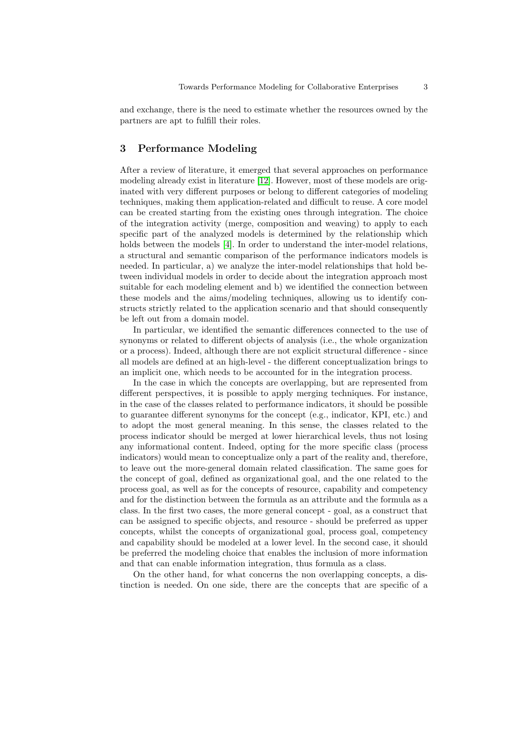and exchange, there is the need to estimate whether the resources owned by the partners are apt to fulfill their roles.

## 3 Performance Modeling

After a review of literature, it emerged that several approaches on performance modeling already exist in literature [\[12\]](#page-3-14). However, most of these models are originated with very different purposes or belong to different categories of modeling techniques, making them application-related and difficult to reuse. A core model can be created starting from the existing ones through integration. The choice of the integration activity (merge, composition and weaving) to apply to each specific part of the analyzed models is determined by the relationship which holds between the models [\[4\]](#page-3-15). In order to understand the inter-model relations, a structural and semantic comparison of the performance indicators models is needed. In particular, a) we analyze the inter-model relationships that hold between individual models in order to decide about the integration approach most suitable for each modeling element and b) we identified the connection between these models and the aims/modeling techniques, allowing us to identify constructs strictly related to the application scenario and that should consequently be left out from a domain model.

In particular, we identified the semantic differences connected to the use of synonyms or related to different objects of analysis (i.e., the whole organization or a process). Indeed, although there are not explicit structural difference - since all models are defined at an high-level - the different conceptualization brings to an implicit one, which needs to be accounted for in the integration process.

In the case in which the concepts are overlapping, but are represented from different perspectives, it is possible to apply merging techniques. For instance, in the case of the classes related to performance indicators, it should be possible to guarantee different synonyms for the concept (e.g., indicator, KPI, etc.) and to adopt the most general meaning. In this sense, the classes related to the process indicator should be merged at lower hierarchical levels, thus not losing any informational content. Indeed, opting for the more specific class (process indicators) would mean to conceptualize only a part of the reality and, therefore, to leave out the more-general domain related classification. The same goes for the concept of goal, defined as organizational goal, and the one related to the process goal, as well as for the concepts of resource, capability and competency and for the distinction between the formula as an attribute and the formula as a class. In the first two cases, the more general concept - goal, as a construct that can be assigned to specific objects, and resource - should be preferred as upper concepts, whilst the concepts of organizational goal, process goal, competency and capability should be modeled at a lower level. In the second case, it should be preferred the modeling choice that enables the inclusion of more information and that can enable information integration, thus formula as a class.

On the other hand, for what concerns the non overlapping concepts, a distinction is needed. On one side, there are the concepts that are specific of a